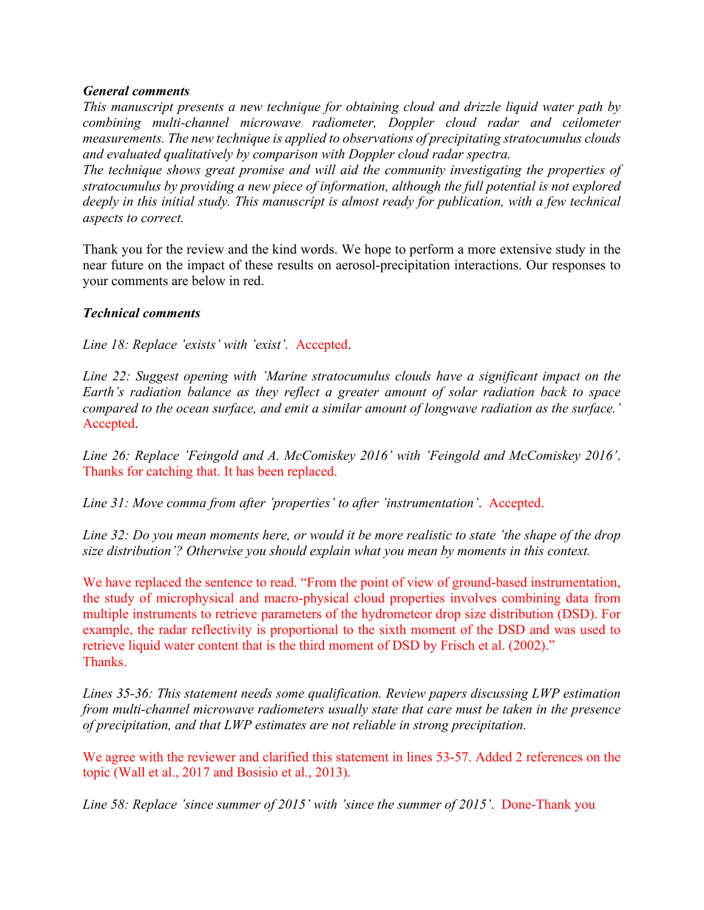## *General comments*

*This manuscript presents a new technique for obtaining cloud and drizzle liquid water path by combining multi-channel microwave radiometer, Doppler cloud radar and ceilometer measurements. The new technique is applied to observations of precipitating stratocumulus clouds and evaluated qualitatively by comparison with Doppler cloud radar spectra.* 

*The technique shows great promise and will aid the community investigating the properties of stratocumulus by providing a new piece of information, although the full potential is not explored deeply in this initial study. This manuscript is almost ready for publication, with a few technical aspects to correct.* 

Thank you for the review and the kind words. We hope to perform a more extensive study in the near future on the impact of these results on aerosol-precipitation interactions. Our responses to your comments are below in red.

## *Technical comments*

*Line 18: Replace 'exists' with 'exist'.* Accepted.

*Line 22: Suggest opening with 'Marine stratocumulus clouds have a significant impact on the Earth's radiation balance as they reflect a greater amount of solar radiation back to space compared to the ocean surface, and emit a similar amount of longwave radiation as the surface.'* Accepted.

*Line 26: Replace 'Feingold and A. McComiskey 2016' with 'Feingold and McComiskey 2016'*. Thanks for catching that. It has been replaced.

*Line 31: Move comma from after 'properties' to after 'instrumentation'*. Accepted.

*Line 32: Do you mean moments here, or would it be more realistic to state 'the shape of the drop size distribution'? Otherwise you should explain what you mean by moments in this context.* 

We have replaced the sentence to read. "From the point of view of ground-based instrumentation, the study of microphysical and macro-physical cloud properties involves combining data from multiple instruments to retrieve parameters of the hydrometeor drop size distribution (DSD). For example, the radar reflectivity is proportional to the sixth moment of the DSD and was used to retrieve liquid water content that is the third moment of DSD by Frisch et al. (2002)." Thanks.

*Lines 35-36: This statement needs some qualification. Review papers discussing LWP estimation from multi-channel microwave radiometers usually state that care must be taken in the presence of precipitation, and that LWP estimates are not reliable in strong precipitation.* 

We agree with the reviewer and clarified this statement in lines 53-57. Added 2 references on the topic (Wall et al., 2017 and Bosisio et al., 2013).

*Line 58: Replace 'since summer of 2015' with 'since the summer of 2015'*. Done-Thank you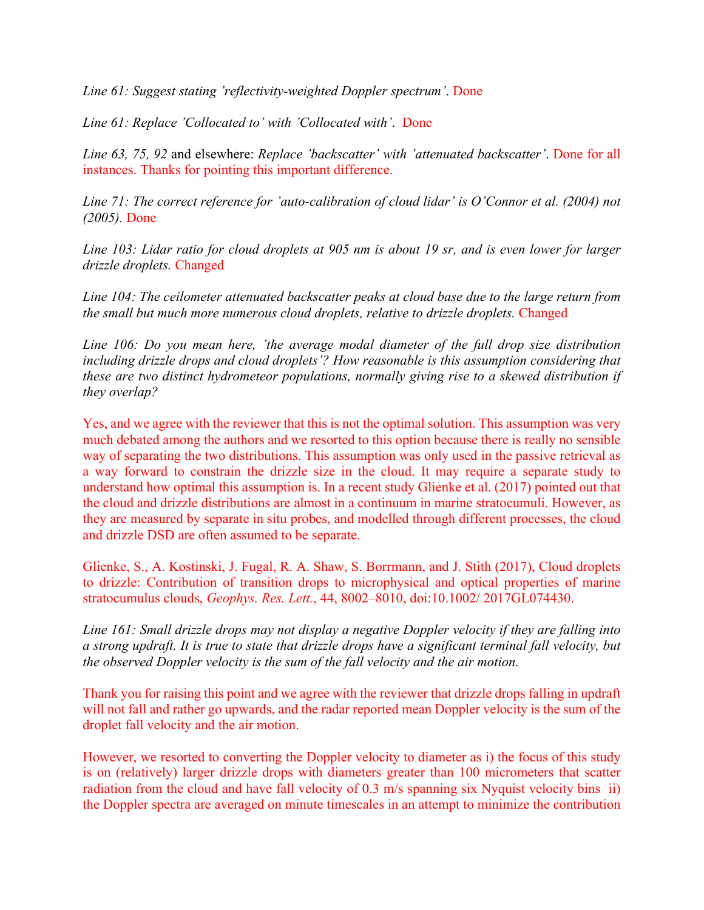*Line 61: Suggest stating 'reflectivity-weighted Doppler spectrum'*. Done

*Line 61: Replace 'Collocated to' with 'Collocated with'*. Done

*Line 63, 75, 92* and elsewhere: *Replace 'backscatter' with 'attenuated backscatter'*. Done for all instances. Thanks for pointing this important difference.

*Line 71: The correct reference for 'auto-calibration of cloud lidar' is O'Connor et al. (2004) not (2005).* Done

*Line 103: Lidar ratio for cloud droplets at 905 nm is about 19 sr, and is even lower for larger drizzle droplets.* Changed

*Line 104: The ceilometer attenuated backscatter peaks at cloud base due to the large return from the small but much more numerous cloud droplets, relative to drizzle droplets.* Changed

*Line 106: Do you mean here, 'the average modal diameter of the full drop size distribution including drizzle drops and cloud droplets'? How reasonable is this assumption considering that these are two distinct hydrometeor populations, normally giving rise to a skewed distribution if they overlap?* 

Yes, and we agree with the reviewer that this is not the optimal solution. This assumption was very much debated among the authors and we resorted to this option because there is really no sensible way of separating the two distributions. This assumption was only used in the passive retrieval as a way forward to constrain the drizzle size in the cloud. It may require a separate study to understand how optimal this assumption is. In a recent study Glienke et al. (2017) pointed out that the cloud and drizzle distributions are almost in a continuum in marine stratocumuli. However, as they are measured by separate in situ probes, and modelled through different processes, the cloud and drizzle DSD are often assumed to be separate.

Glienke, S., A. Kostinski, J. Fugal, R. A. Shaw, S. Borrmann, and J. Stith (2017), Cloud droplets to drizzle: Contribution of transition drops to microphysical and optical properties of marine stratocumulus clouds, *Geophys. Res. Lett.*, 44, 8002–8010, doi:10.1002/ 2017GL074430.

*Line 161: Small drizzle drops may not display a negative Doppler velocity if they are falling into a strong updraft. It is true to state that drizzle drops have a significant terminal fall velocity, but the observed Doppler velocity is the sum of the fall velocity and the air motion.* 

Thank you for raising this point and we agree with the reviewer that drizzle drops falling in updraft will not fall and rather go upwards, and the radar reported mean Doppler velocity is the sum of the droplet fall velocity and the air motion.

However, we resorted to converting the Doppler velocity to diameter as i) the focus of this study is on (relatively) larger drizzle drops with diameters greater than 100 micrometers that scatter radiation from the cloud and have fall velocity of 0.3 m/s spanning six Nyquist velocity bins ii) the Doppler spectra are averaged on minute timescales in an attempt to minimize the contribution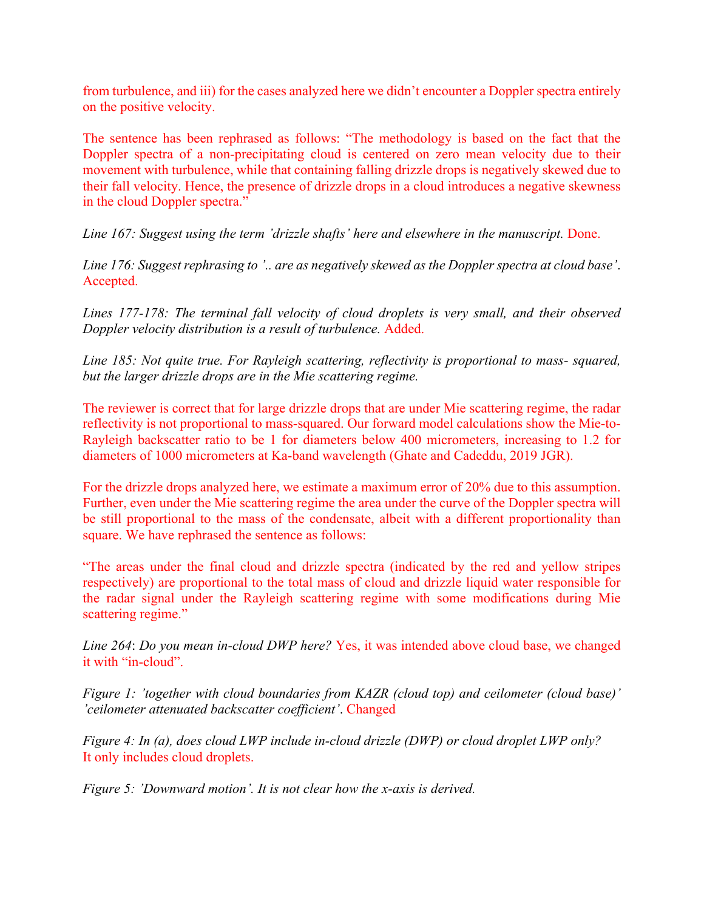from turbulence, and iii) for the cases analyzed here we didn't encounter a Doppler spectra entirely on the positive velocity.

The sentence has been rephrased as follows: "The methodology is based on the fact that the Doppler spectra of a non-precipitating cloud is centered on zero mean velocity due to their movement with turbulence, while that containing falling drizzle drops is negatively skewed due to their fall velocity. Hence, the presence of drizzle drops in a cloud introduces a negative skewness in the cloud Doppler spectra."

*Line 167: Suggest using the term 'drizzle shafts' here and elsewhere in the manuscript.* Done.

*Line 176: Suggest rephrasing to '.. are as negatively skewed as the Doppler spectra at cloud base'*. Accepted.

*Lines 177-178: The terminal fall velocity of cloud droplets is very small, and their observed Doppler velocity distribution is a result of turbulence.* Added.

*Line 185: Not quite true. For Rayleigh scattering, reflectivity is proportional to mass- squared, but the larger drizzle drops are in the Mie scattering regime.*

The reviewer is correct that for large drizzle drops that are under Mie scattering regime, the radar reflectivity is not proportional to mass-squared. Our forward model calculations show the Mie-to-Rayleigh backscatter ratio to be 1 for diameters below 400 micrometers, increasing to 1.2 for diameters of 1000 micrometers at Ka-band wavelength (Ghate and Cadeddu, 2019 JGR).

For the drizzle drops analyzed here, we estimate a maximum error of 20% due to this assumption. Further, even under the Mie scattering regime the area under the curve of the Doppler spectra will be still proportional to the mass of the condensate, albeit with a different proportionality than square. We have rephrased the sentence as follows:

"The areas under the final cloud and drizzle spectra (indicated by the red and yellow stripes respectively) are proportional to the total mass of cloud and drizzle liquid water responsible for the radar signal under the Rayleigh scattering regime with some modifications during Mie scattering regime."

*Line 264*: *Do you mean in-cloud DWP here?* Yes, it was intended above cloud base, we changed it with "in-cloud".

*Figure 1: 'together with cloud boundaries from KAZR (cloud top) and ceilometer (cloud base)' 'ceilometer attenuated backscatter coefficient'*. Changed

*Figure 4: In (a), does cloud LWP include in-cloud drizzle (DWP) or cloud droplet LWP only?* It only includes cloud droplets.

*Figure 5: 'Downward motion'. It is not clear how the x-axis is derived.*